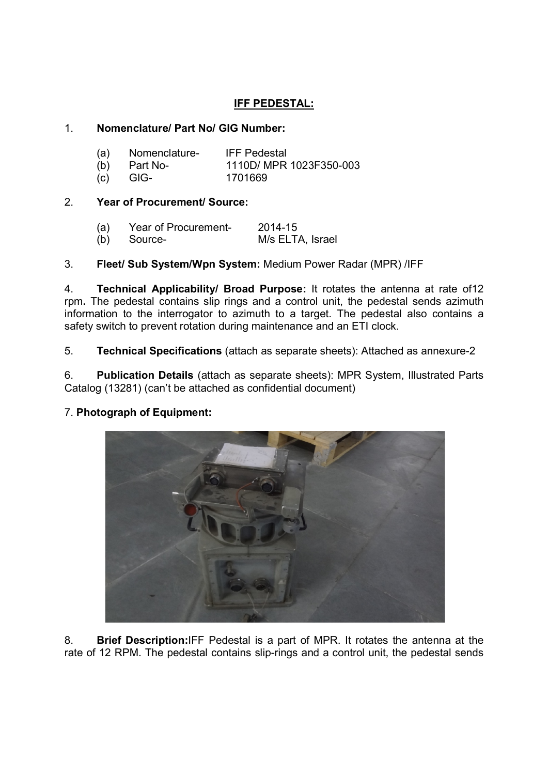# IFF PEDESTAL:

## 1. Nomenclature/ Part No/ GIG Number:

| (a) | Nomenclature-  | <b>IFF Pedestal</b>     |
|-----|----------------|-------------------------|
|     | $(b)$ Part No- | 1110D/ MPR 1023F350-003 |
| (C) | GIG-           | 1701669                 |

## 2. Year of Procurement/ Source:

| (a) | Year of Procurement- | 2014-15          |
|-----|----------------------|------------------|
|     | (b) Source-          | M/s ELTA, Israel |

## 3. Fleet/ Sub System/Wpn System: Medium Power Radar (MPR) /IFF

4. Technical Applicability/ Broad Purpose: It rotates the antenna at rate of12 rpm. The pedestal contains slip rings and a control unit, the pedestal sends azimuth information to the interrogator to azimuth to a target. The pedestal also contains a safety switch to prevent rotation during maintenance and an ETI clock.

5. Technical Specifications (attach as separate sheets): Attached as annexure-2

6. Publication Details (attach as separate sheets): MPR System, Illustrated Parts Catalog (13281) (can't be attached as confidential document)

## 7. Photograph of Equipment:



8. Brief Description:IFF Pedestal is a part of MPR. It rotates the antenna at the rate of 12 RPM. The pedestal contains slip-rings and a control unit, the pedestal sends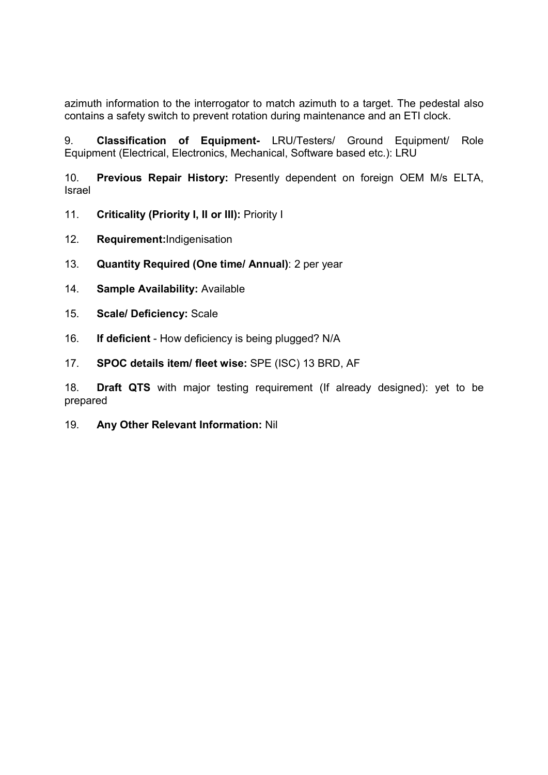azimuth information to the interrogator to match azimuth to a target. The pedestal also contains a safety switch to prevent rotation during maintenance and an ETI clock.

9. Classification of Equipment- LRU/Testers/ Ground Equipment/ Role Equipment (Electrical, Electronics, Mechanical, Software based etc.): LRU

10. Previous Repair History: Presently dependent on foreign OEM M/s ELTA, Israel

- 11. Criticality (Priority I, II or III): Priority I
- 12. Requirement:Indigenisation
- 13. Quantity Required (One time/ Annual): 2 per year
- 14. Sample Availability: Available
- 15. Scale/ Deficiency: Scale
- 16. If deficient How deficiency is being plugged? N/A
- 17. SPOC details item/ fleet wise: SPE (ISC) 13 BRD, AF

18. Draft QTS with major testing requirement (If already designed): yet to be prepared

19. Any Other Relevant Information: Nil